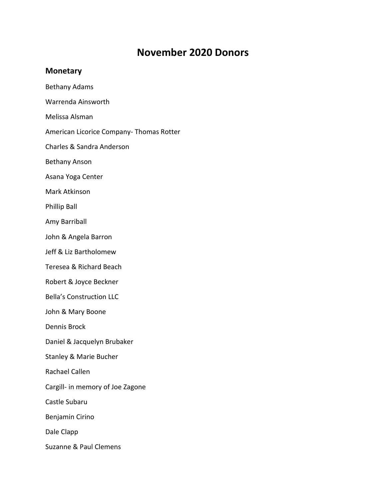## **November 2020 Donors**

## **Monetary**

- Bethany Adams Warrenda Ainsworth Melissa Alsman American Licorice Company- Thomas Rotter Charles & Sandra Anderson Bethany Anson Asana Yoga Center Mark Atkinson Phillip Ball
- Amy Barriball
- John & Angela Barron
- Jeff & Liz Bartholomew
- Teresea & Richard Beach
- Robert & Joyce Beckner
- Bella's Construction LLC
- John & Mary Boone
- Dennis Brock
- Daniel & Jacquelyn Brubaker
- Stanley & Marie Bucher
- Rachael Callen
- Cargill- in memory of Joe Zagone
- Castle Subaru
- Benjamin Cirino
- Dale Clapp
- Suzanne & Paul Clemens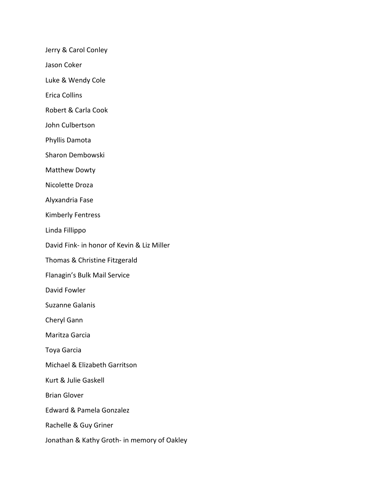Jerry & Carol Conley

Jason Coker

Luke & Wendy Cole

Erica Collins

Robert & Carla Cook

John Culbertson

Phyllis Damota

Sharon Dembowski

Matthew Dowty

Nicolette Droza

Alyxandria Fase

Kimberly Fentress

Linda Fillippo

David Fink- in honor of Kevin & Liz Miller

Thomas & Christine Fitzgerald

Flanagin's Bulk Mail Service

David Fowler

Suzanne Galanis

Cheryl Gann

Maritza Garcia

Toya Garcia

Michael & Elizabeth Garritson

Kurt & Julie Gaskell

Brian Glover

Edward & Pamela Gonzalez

Rachelle & Guy Griner

Jonathan & Kathy Groth- in memory of Oakley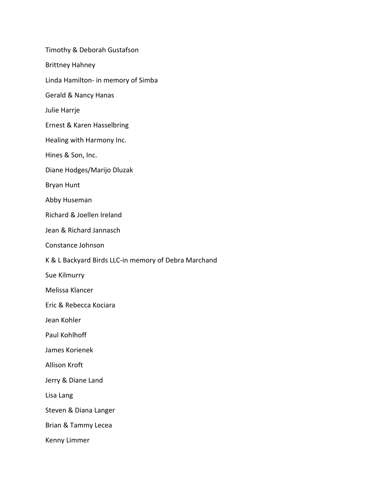Timothy & Deborah Gustafson Brittney Hahney Linda Hamilton- in memory of Simba Gerald & Nancy Hanas Julie Harrje Ernest & Karen Hasselbring Healing with Harmony Inc. Hines & Son, Inc. Diane Hodges/Marijo Dluzak Bryan Hunt Abby Huseman Richard & Joellen Ireland Jean & Richard Jannasch Constance Johnson K & L Backyard Birds LLC-in memory of Debra Marchand Sue Kilmurry Melissa Klancer Eric & Rebecca Kociara Jean Kohler Paul Kohlhoff James Korienek Allison Kroft Jerry & Diane Land Lisa Lang Steven & Diana Langer Brian & Tammy Lecea Kenny Limmer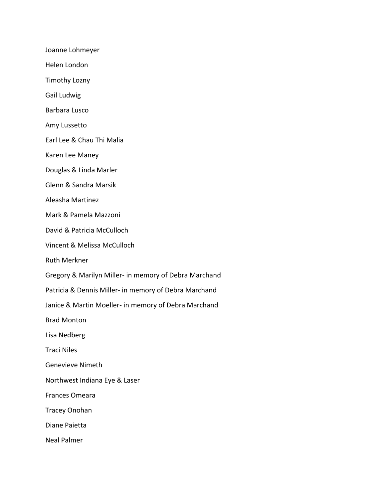Joanne Lohmeyer

Helen London

Timothy Lozny

Gail Ludwig

Barbara Lusco

Amy Lussetto

Earl Lee & Chau Thi Malia

Karen Lee Maney

Douglas & Linda Marler

Glenn & Sandra Marsik

Aleasha Martinez

Mark & Pamela Mazzoni

David & Patricia McCulloch

Vincent & Melissa McCulloch

Ruth Merkner

Gregory & Marilyn Miller- in memory of Debra Marchand

Patricia & Dennis Miller- in memory of Debra Marchand

Janice & Martin Moeller- in memory of Debra Marchand

Brad Monton

Lisa Nedberg

Traci Niles

Genevieve Nimeth

Northwest Indiana Eye & Laser

Frances Omeara

Tracey Onohan

Diane Paietta

Neal Palmer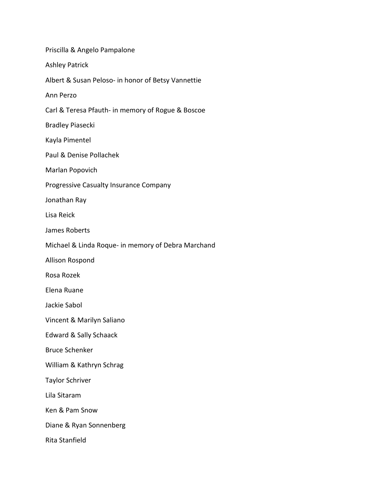| Priscilla & Angelo Pampalone                       |
|----------------------------------------------------|
| <b>Ashley Patrick</b>                              |
| Albert & Susan Peloso- in honor of Betsy Vannettie |
| Ann Perzo                                          |
| Carl & Teresa Pfauth- in memory of Rogue & Boscoe  |
| <b>Bradley Piasecki</b>                            |
| Kayla Pimentel                                     |
| Paul & Denise Pollachek                            |
| Marlan Popovich                                    |
| Progressive Casualty Insurance Company             |
| Jonathan Ray                                       |
| Lisa Reick                                         |
| James Roberts                                      |
| Michael & Linda Roque- in memory of Debra Marchand |
| Allison Rospond                                    |
| Rosa Rozek                                         |
| Elena Ruane                                        |
| Jackie Sabol                                       |
| Vincent & Marilyn Saliano                          |
| <b>Edward &amp; Sally Schaack</b>                  |
| <b>Bruce Schenker</b>                              |
| William & Kathryn Schrag                           |
| <b>Taylor Schriver</b>                             |
| Lila Sitaram                                       |
| Ken & Pam Snow                                     |
| Diane & Ryan Sonnenberg                            |
| Rita Stanfield                                     |
|                                                    |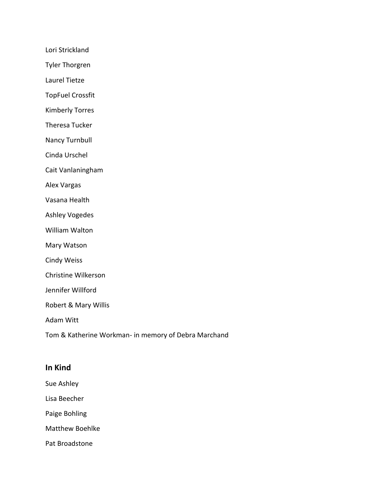Lori Strickland

Tyler Thorgren

Laurel Tietze

TopFuel Crossfit

Kimberly Torres

Theresa Tucker

Nancy Turnbull

Cinda Urschel

Cait Vanlaningham

Alex Vargas

Vasana Health

Ashley Vogedes

William Walton

Mary Watson

Cindy Weiss

Christine Wilkerson

Jennifer Willford

Robert & Mary Willis

Adam Witt

Tom & Katherine Workman- in memory of Debra Marchand

## **In Kind**

Sue Ashley

Lisa Beecher

Paige Bohling

Matthew Boehlke

Pat Broadstone